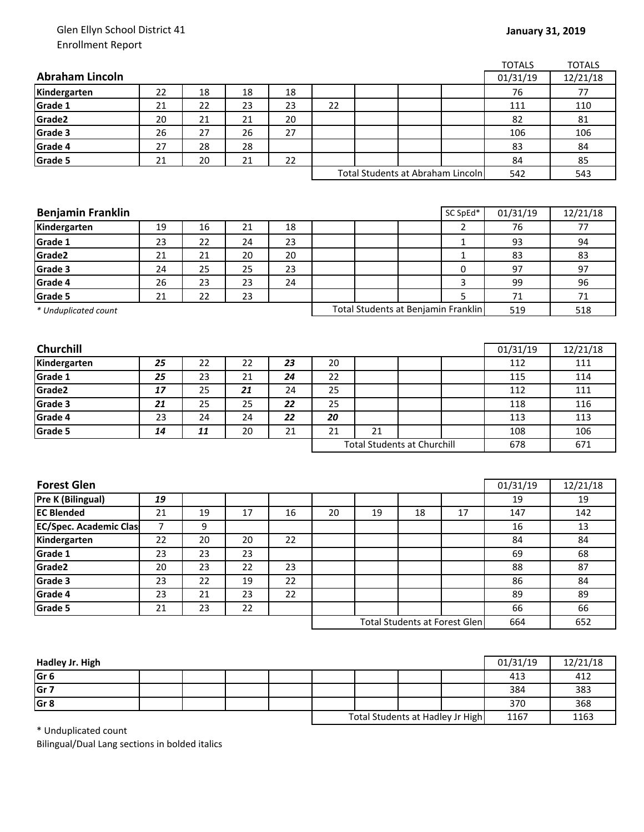## Glen Ellyn School District 41 Enrollment Report

|                               |    |    |    |    |                                    |    |     |                                      | <b>TOTALS</b> | <b>TOTALS</b> |
|-------------------------------|----|----|----|----|------------------------------------|----|-----|--------------------------------------|---------------|---------------|
| <b>Abraham Lincoln</b>        |    |    |    |    |                                    |    |     |                                      | 01/31/19      | 12/21/18      |
| Kindergarten                  | 22 | 18 | 18 | 18 |                                    |    |     |                                      | 76            | 77            |
| Grade 1                       | 21 | 22 | 23 | 23 | 22                                 |    |     |                                      | 111           | 110           |
| Grade2                        | 20 | 21 | 21 | 20 |                                    |    |     |                                      | 82            | 81            |
| Grade 3                       | 26 | 27 | 26 | 27 |                                    |    |     |                                      | 106           | 106           |
| Grade 4                       | 27 | 28 | 28 |    |                                    |    |     |                                      | 83            | 84            |
| Grade 5                       | 21 | 20 | 21 | 22 |                                    |    |     |                                      | 84            | 85            |
|                               |    |    |    |    | Total Students at Abraham Lincoln  |    |     | 542                                  | 543           |               |
|                               |    |    |    |    |                                    |    |     |                                      |               |               |
|                               |    |    |    |    |                                    |    |     |                                      |               |               |
| <b>Benjamin Franklin</b>      |    |    |    |    |                                    |    |     | SC SpEd*                             | 01/31/19      | 12/21/18      |
| Kindergarten                  | 19 | 16 | 21 | 18 |                                    |    |     | $\overline{2}$                       | 76            | 77            |
| Grade 1                       | 23 | 22 | 24 | 23 |                                    |    |     | 1                                    | 93            | 94            |
| Grade2                        | 21 | 21 | 20 | 20 |                                    |    |     | 1                                    | 83            | 83            |
| Grade 3                       | 24 | 25 | 25 | 23 |                                    |    |     | 0                                    | 97            | 97            |
| Grade 4                       | 26 | 23 | 23 | 24 |                                    |    |     | 3                                    | 99            | 96            |
| Grade 5                       | 21 | 22 | 23 |    |                                    |    |     | 5                                    | 71            | 71            |
| * Unduplicated count          |    |    |    |    |                                    |    |     | Total Students at Benjamin Franklin  | 519           | 518           |
|                               |    |    |    |    |                                    |    |     |                                      |               |               |
| Churchill                     |    |    |    |    |                                    |    |     |                                      | 01/31/19      | 12/21/18      |
| Kindergarten                  | 25 | 22 | 22 | 23 | 20                                 |    |     |                                      | 112           | 111           |
| Grade 1                       | 25 | 23 | 21 | 24 | 22                                 |    |     |                                      | 115           | 114           |
| Grade2                        | 17 | 25 | 21 | 24 | 25                                 |    |     |                                      | 112           | 111           |
| Grade 3                       | 21 | 25 | 25 | 22 | 25                                 |    |     |                                      | 118           | 116           |
| Grade 4                       | 23 | 24 | 24 | 22 | 20                                 |    |     |                                      | 113           | 113           |
| Grade 5                       | 14 | 11 | 20 | 21 | 21                                 | 21 |     |                                      | 108           | 106           |
|                               |    |    |    |    | <b>Total Students at Churchill</b> |    | 678 | 671                                  |               |               |
|                               |    |    |    |    |                                    |    |     |                                      |               |               |
|                               |    |    |    |    |                                    |    |     |                                      |               |               |
| <b>Forest Glen</b>            |    |    |    |    |                                    |    |     |                                      | 01/31/19      | 12/21/18      |
| Pre K (Bilingual)             | 19 |    |    |    |                                    |    |     |                                      | 19            | 19            |
| <b>EC Blended</b>             | 21 | 19 | 17 | 16 | 20                                 | 19 | 18  | 17                                   | 147           | 142           |
| <b>EC/Spec. Academic Clas</b> | 7  | 9  |    |    |                                    |    |     |                                      | 16            | 13            |
| Kindergarten                  | 22 | 20 | 20 | 22 |                                    |    |     |                                      | 84            | 84            |
| Grade 1                       | 23 | 23 | 23 |    |                                    |    |     |                                      | 69            | 68            |
| Grade2                        | 20 | 23 | 22 | 23 |                                    |    |     |                                      | 88            | 87            |
| Grade 3                       | 23 | 22 | 19 | 22 |                                    |    |     |                                      | 86            | 84            |
| Grade 4                       | 23 | 21 | 23 | 22 |                                    |    |     |                                      | 89            | 89            |
| Grade 5                       | 21 | 23 | 22 |    |                                    |    |     |                                      | 66            | 66            |
|                               |    |    |    |    |                                    |    |     | <b>Total Students at Forest Glen</b> | 664           | 652           |
|                               |    |    |    |    |                                    |    |     |                                      |               |               |

| Hadley Jr. High |  |  |                                  |  |      | 01/31/19 | 12/21/18 |
|-----------------|--|--|----------------------------------|--|------|----------|----------|
| Gr 6            |  |  |                                  |  |      | 413      | 412      |
| Gr 7            |  |  |                                  |  |      | 384      | 383      |
| Gr <sub>8</sub> |  |  |                                  |  |      | 370      | 368      |
|                 |  |  | Total Students at Hadley Jr High |  | 1167 | 1163     |          |

\* Unduplicated count

Bilingual/Dual Lang sections in bolded italics